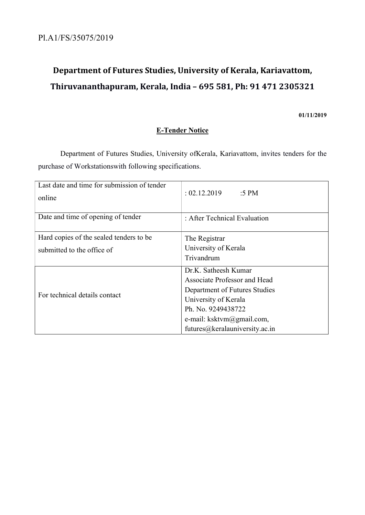# Department of Futures Studies, University of Kerala, Kariavattom, Thiruvananthapuram, Kerala, India – 695 581, Ph: 91 471 2305321

### 01/11/2019

# E-Tender Notice

 Department of Futures Studies, University ofKerala, Kariavattom, invites tenders for the purchase of Workstationswith following specifications.

| Last date and time for submission of tender<br>online | : 02.12.2019<br>:5 PM          |  |
|-------------------------------------------------------|--------------------------------|--|
| Date and time of opening of tender                    | : After Technical Evaluation   |  |
| Hard copies of the sealed tenders to be               | The Registrar                  |  |
| submitted to the office of                            | University of Kerala           |  |
|                                                       | Trivandrum                     |  |
|                                                       | Dr.K. Satheesh Kumar           |  |
|                                                       | Associate Professor and Head   |  |
| For technical details contact                         | Department of Futures Studies  |  |
|                                                       | University of Kerala           |  |
|                                                       | Ph. No. 9249438722             |  |
|                                                       | e-mail: ksktvm@gmail.com,      |  |
|                                                       | futures@keralauniversity.ac.in |  |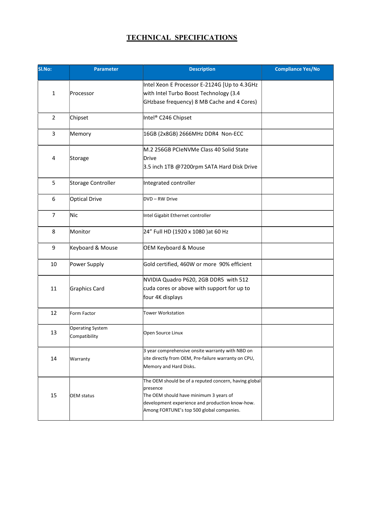# TECHNICAL SPECIFICATIONS

| Sl.No:         | <b>Parameter</b>                         | <b>Description</b>                                                                                                                                                                                          | <b>Compliance Yes/No</b> |
|----------------|------------------------------------------|-------------------------------------------------------------------------------------------------------------------------------------------------------------------------------------------------------------|--------------------------|
| 1              | Processor                                | Intel Xeon E Processor E-2124G [Up to 4.3GHz<br>with Intel Turbo Boost Technology (3.4<br>GHzbase frequency) 8 MB Cache and 4 Cores)                                                                        |                          |
| $\overline{2}$ | Chipset                                  | Intel <sup>®</sup> C246 Chipset                                                                                                                                                                             |                          |
| 3              | Memory                                   | 16GB (2x8GB) 2666MHz DDR4 Non-ECC                                                                                                                                                                           |                          |
| 4              | Storage                                  | M.2 256GB PCIeNVMe Class 40 Solid State<br>Drive<br>3.5 inch 1TB @7200rpm SATA Hard Disk Drive                                                                                                              |                          |
| 5              | Storage Controller                       | Integrated controller                                                                                                                                                                                       |                          |
| 6              | <b>Optical Drive</b>                     | DVD-RW Drive                                                                                                                                                                                                |                          |
| $\overline{7}$ | <b>Nic</b>                               | Intel Gigabit Ethernet controller                                                                                                                                                                           |                          |
| 8              | Monitor                                  | 24" Full HD (1920 x 1080) at 60 Hz                                                                                                                                                                          |                          |
| 9              | Keyboard & Mouse                         | <b>OEM Keyboard &amp; Mouse</b>                                                                                                                                                                             |                          |
| 10             | Power Supply                             | Gold certified, 460W or more 90% efficient                                                                                                                                                                  |                          |
| 11             | Graphics Card                            | NVIDIA Quadro P620, 2GB DDR5 with 512<br>cuda cores or above with support for up to<br>four 4K displays                                                                                                     |                          |
| 12             | Form Factor                              | <b>Tower Workstation</b>                                                                                                                                                                                    |                          |
| 13             | <b>Operating System</b><br>Compatibility | Open Source Linux                                                                                                                                                                                           |                          |
| 14             | Warranty                                 | 3 year comprehensive onsite warranty with NBD on<br>site directly from OEM, Pre-failure warranty on CPU,<br>Memory and Hard Disks.                                                                          |                          |
| 15             | <b>OEM</b> status                        | The OEM should be of a reputed concern, having global<br>presence<br>The OEM should have minimum 3 years of<br>development experience and production know-how.<br>Among FORTUNE's top 500 global companies. |                          |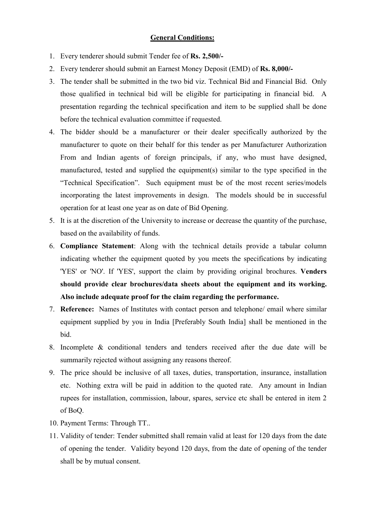## General Conditions:

- 1. Every tenderer should submit Tender fee of Rs. 2,500/-
- 2. Every tenderer should submit an Earnest Money Deposit (EMD) of Rs. 8,000/-
- 3. The tender shall be submitted in the two bid viz. Technical Bid and Financial Bid. Only those qualified in technical bid will be eligible for participating in financial bid. A presentation regarding the technical specification and item to be supplied shall be done before the technical evaluation committee if requested.
- 4. The bidder should be a manufacturer or their dealer specifically authorized by the manufacturer to quote on their behalf for this tender as per Manufacturer Authorization From and Indian agents of foreign principals, if any, who must have designed, manufactured, tested and supplied the equipment(s) similar to the type specified in the "Technical Specification". Such equipment must be of the most recent series/models incorporating the latest improvements in design. The models should be in successful operation for at least one year as on date of Bid Opening.
- 5. It is at the discretion of the University to increase or decrease the quantity of the purchase, based on the availability of funds.
- 6. Compliance Statement: Along with the technical details provide a tabular column indicating whether the equipment quoted by you meets the specifications by indicating 'YES' or 'NO'. If 'YES', support the claim by providing original brochures. Venders should provide clear brochures/data sheets about the equipment and its working. Also include adequate proof for the claim regarding the performance.
- 7. Reference: Names of Institutes with contact person and telephone/ email where similar equipment supplied by you in India [Preferably South India] shall be mentioned in the bid.
- 8. Incomplete & conditional tenders and tenders received after the due date will be summarily rejected without assigning any reasons thereof.
- 9. The price should be inclusive of all taxes, duties, transportation, insurance, installation etc. Nothing extra will be paid in addition to the quoted rate. Any amount in Indian rupees for installation, commission, labour, spares, service etc shall be entered in item 2 of BoQ.
- 10. Payment Terms: Through TT..
- 11. Validity of tender: Tender submitted shall remain valid at least for 120 days from the date of opening the tender. Validity beyond 120 days, from the date of opening of the tender shall be by mutual consent.